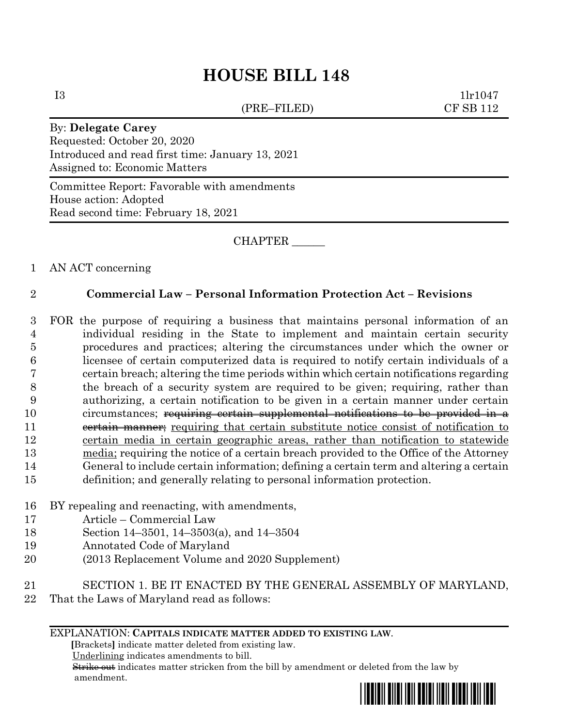# **HOUSE BILL 148**

(PRE–FILED) CF SB 112

 $11r1047$ 

#### By: **Delegate Carey**

Requested: October 20, 2020 Introduced and read first time: January 13, 2021 Assigned to: Economic Matters

Committee Report: Favorable with amendments House action: Adopted Read second time: February 18, 2021

CHAPTER \_\_\_\_\_\_

### 1 AN ACT concerning

## 2 **Commercial Law – Personal Information Protection Act – Revisions**

- 3 FOR the purpose of requiring a business that maintains personal information of an 4 individual residing in the State to implement and maintain certain security 5 procedures and practices; altering the circumstances under which the owner or 6 licensee of certain computerized data is required to notify certain individuals of a 7 certain breach; altering the time periods within which certain notifications regarding 8 the breach of a security system are required to be given; requiring, rather than 9 authorizing, a certain notification to be given in a certain manner under certain 10 circumstances; requiring certain supplemental notifications to be provided in a 11 external manner; requiring that certain substitute notice consist of notification to 12 certain media in certain geographic areas, rather than notification to statewide 13 media; requiring the notice of a certain breach provided to the Office of the Attorney 14 General to include certain information; defining a certain term and altering a certain 15 definition; and generally relating to personal information protection.
- 16 BY repealing and reenacting, with amendments,
- 17 Article Commercial Law
- 18 Section 14–3501, 14–3503(a), and 14–3504
- 19 Annotated Code of Maryland
- 20 (2013 Replacement Volume and 2020 Supplement)
- 21 SECTION 1. BE IT ENACTED BY THE GENERAL ASSEMBLY OF MARYLAND,
- 22 That the Laws of Maryland read as follows:

#### EXPLANATION: **CAPITALS INDICATE MATTER ADDED TO EXISTING LAW**.

 **[**Brackets**]** indicate matter deleted from existing law.

Underlining indicates amendments to bill.

 Strike out indicates matter stricken from the bill by amendment or deleted from the law by amendment.

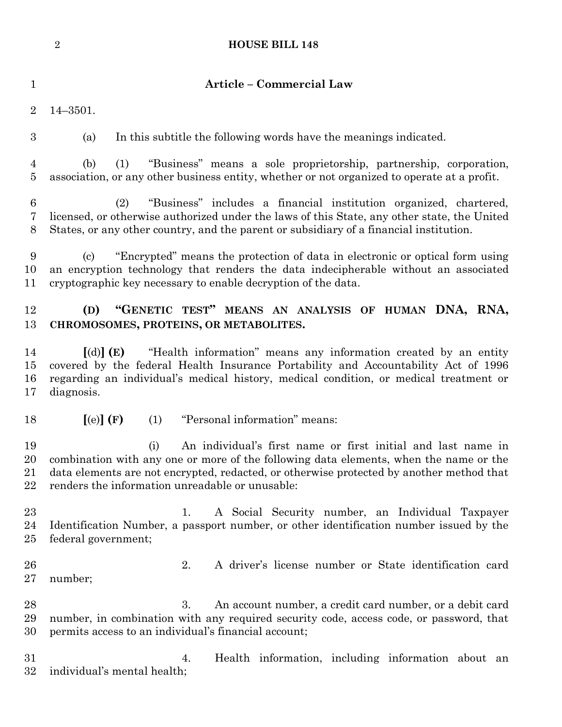|                           | $\overline{2}$<br><b>HOUSE BILL 148</b>                                                                                                                                                                                                                                                                     |
|---------------------------|-------------------------------------------------------------------------------------------------------------------------------------------------------------------------------------------------------------------------------------------------------------------------------------------------------------|
| $\mathbf{1}$              | Article - Commercial Law                                                                                                                                                                                                                                                                                    |
| $\overline{2}$            | $14 - 3501.$                                                                                                                                                                                                                                                                                                |
| $\boldsymbol{3}$          | In this subtitle the following words have the meanings indicated.<br>(a)                                                                                                                                                                                                                                    |
| 4<br>$\overline{5}$       | "Business" means a sole proprietorship, partnership, corporation,<br>(b)<br>(1)<br>association, or any other business entity, whether or not organized to operate at a profit.                                                                                                                              |
| $6\phantom{.}6$<br>7<br>8 | "Business" includes a financial institution organized, chartered,<br>(2)<br>licensed, or otherwise authorized under the laws of this State, any other state, the United<br>States, or any other country, and the parent or subsidiary of a financial institution.                                           |
| 9<br>10<br>11             | "Encrypted" means the protection of data in electronic or optical form using<br>$\left( \mathrm{e}\right)$<br>an encryption technology that renders the data indecipherable without an associated<br>cryptographic key necessary to enable decryption of the data.                                          |
| 12<br>13                  | "GENETIC TEST" MEANS AN ANALYSIS OF HUMAN DNA, RNA,<br>(D)<br>CHROMOSOMES, PROTEINS, OR METABOLITES.                                                                                                                                                                                                        |
| 14<br>15<br>16<br>17      | "Health information" means any information created by an entity<br>$\lbrack d) \rbrack$ (E)<br>covered by the federal Health Insurance Portability and Accountability Act of 1996<br>regarding an individual's medical history, medical condition, or medical treatment or<br>diagnosis.                    |
| 18                        | "Personal information" means:<br>[(e)](F)<br>(1)                                                                                                                                                                                                                                                            |
| 19<br>20<br>21<br>22      | An individual's first name or first initial and last name in<br>(i)<br>combination with any one or more of the following data elements, when the name or the<br>data elements are not encrypted, redacted, or otherwise protected by another method that<br>renders the information unreadable or unusable: |
| 23<br>24<br>$25\,$        | A Social Security number, an Individual Taxpayer<br>1.<br>Identification Number, a passport number, or other identification number issued by the<br>federal government;                                                                                                                                     |
| 26<br>$27\,$              | 2.<br>A driver's license number or State identification card<br>number;                                                                                                                                                                                                                                     |
| 28<br>29<br>30            | 3.<br>An account number, a credit card number, or a debit card<br>number, in combination with any required security code, access code, or password, that<br>permits access to an individual's financial account;                                                                                            |
| $31\,$<br>$32\,$          | Health information, including information about an<br>4.<br>individual's mental health;                                                                                                                                                                                                                     |
|                           |                                                                                                                                                                                                                                                                                                             |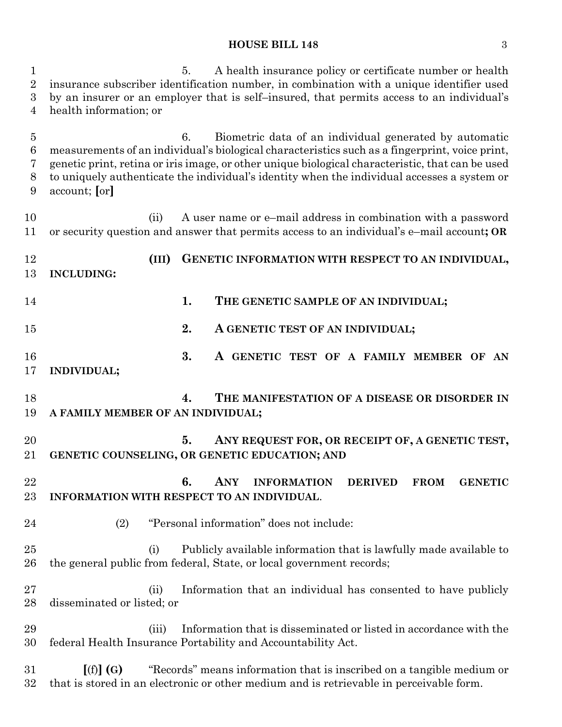# **HOUSE BILL 148** 3

| 1<br>$\overline{2}$<br>3<br>4      | A health insurance policy or certificate number or health<br>5.<br>insurance subscriber identification number, in combination with a unique identifier used<br>by an insurer or an employer that is self-insured, that permits access to an individual's<br>health information; or                                                                                                 |
|------------------------------------|------------------------------------------------------------------------------------------------------------------------------------------------------------------------------------------------------------------------------------------------------------------------------------------------------------------------------------------------------------------------------------|
| $\overline{5}$<br>6<br>7<br>8<br>9 | Biometric data of an individual generated by automatic<br>6.<br>measurements of an individual's biological characteristics such as a fingerprint, voice print,<br>genetic print, retina or iris image, or other unique biological characteristic, that can be used<br>to uniquely authenticate the individual's identity when the individual accesses a system or<br>account; [or] |
| 10<br>11                           | A user name or e-mail address in combination with a password<br>(ii)<br>or security question and answer that permits access to an individual's e-mail account; OR                                                                                                                                                                                                                  |
| 12<br>13                           | GENETIC INFORMATION WITH RESPECT TO AN INDIVIDUAL,<br>(III)<br><b>INCLUDING:</b>                                                                                                                                                                                                                                                                                                   |
| 14                                 | 1.<br>THE GENETIC SAMPLE OF AN INDIVIDUAL;                                                                                                                                                                                                                                                                                                                                         |
| 15                                 | 2.<br>A GENETIC TEST OF AN INDIVIDUAL;                                                                                                                                                                                                                                                                                                                                             |
| 16<br>17                           | 3.<br>A GENETIC TEST OF A FAMILY MEMBER OF AN<br><b>INDIVIDUAL;</b>                                                                                                                                                                                                                                                                                                                |
| 18<br>19                           | 4.<br>THE MANIFESTATION OF A DISEASE OR DISORDER IN<br>A FAMILY MEMBER OF AN INDIVIDUAL;                                                                                                                                                                                                                                                                                           |
| 20<br>21                           | 5.<br>ANY REQUEST FOR, OR RECEIPT OF, A GENETIC TEST,<br>GENETIC COUNSELING, OR GENETIC EDUCATION; AND                                                                                                                                                                                                                                                                             |
| 22<br>23                           | 6.<br>ANY<br><b>INFORMATION</b><br><b>DERIVED</b><br><b>FROM</b><br><b>GENETIC</b><br>INFORMATION WITH RESPECT TO AN INDIVIDUAL.                                                                                                                                                                                                                                                   |
| 24                                 | "Personal information" does not include:<br>(2)                                                                                                                                                                                                                                                                                                                                    |
| $25\,$<br>26                       | Publicly available information that is lawfully made available to<br>(i)<br>the general public from federal, State, or local government records;                                                                                                                                                                                                                                   |
| $27\,$<br>28                       | Information that an individual has consented to have publicly<br>(ii)<br>disseminated or listed; or                                                                                                                                                                                                                                                                                |
| 29<br>30                           | Information that is disseminated or listed in accordance with the<br>(iii)<br>federal Health Insurance Portability and Accountability Act.                                                                                                                                                                                                                                         |
| 31<br>$32\,$                       | "Records" means information that is inscribed on a tangible medium or<br>[(f)](G)<br>that is stored in an electronic or other medium and is retrievable in perceivable form.                                                                                                                                                                                                       |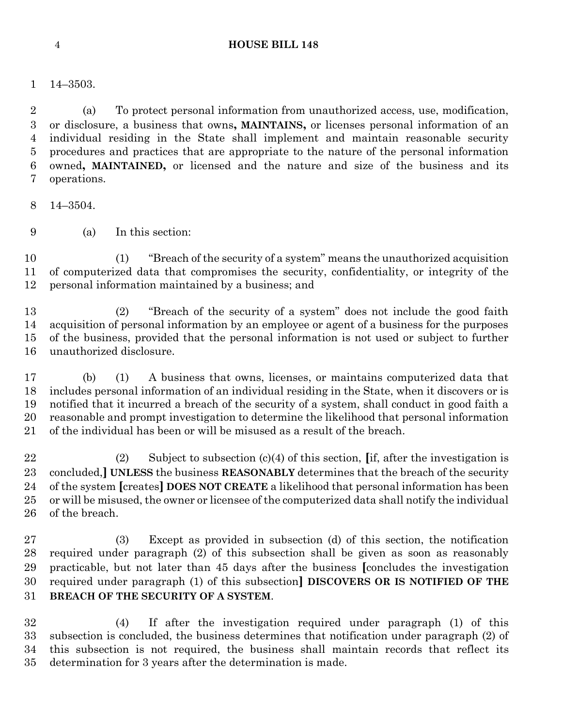- 
- 14–3503.

 (a) To protect personal information from unauthorized access, use, modification, or disclosure, a business that owns**, MAINTAINS,** or licenses personal information of an individual residing in the State shall implement and maintain reasonable security procedures and practices that are appropriate to the nature of the personal information owned**, MAINTAINED,** or licensed and the nature and size of the business and its operations.

14–3504.

(a) In this section:

 (1) "Breach of the security of a system" means the unauthorized acquisition of computerized data that compromises the security, confidentiality, or integrity of the personal information maintained by a business; and

 (2) "Breach of the security of a system" does not include the good faith acquisition of personal information by an employee or agent of a business for the purposes of the business, provided that the personal information is not used or subject to further unauthorized disclosure.

 (b) (1) A business that owns, licenses, or maintains computerized data that includes personal information of an individual residing in the State, when it discovers or is notified that it incurred a breach of the security of a system, shall conduct in good faith a reasonable and prompt investigation to determine the likelihood that personal information of the individual has been or will be misused as a result of the breach.

 (2) Subject to subsection (c)(4) of this section, **[**if, after the investigation is concluded,**] UNLESS** the business **REASONABLY** determines that the breach of the security of the system **[**creates**] DOES NOT CREATE** a likelihood that personal information has been or will be misused, the owner or licensee of the computerized data shall notify the individual of the breach.

 (3) Except as provided in subsection (d) of this section, the notification required under paragraph (2) of this subsection shall be given as soon as reasonably practicable, but not later than 45 days after the business **[**concludes the investigation required under paragraph (1) of this subsection**] DISCOVERS OR IS NOTIFIED OF THE BREACH OF THE SECURITY OF A SYSTEM**.

 (4) If after the investigation required under paragraph (1) of this subsection is concluded, the business determines that notification under paragraph (2) of this subsection is not required, the business shall maintain records that reflect its determination for 3 years after the determination is made.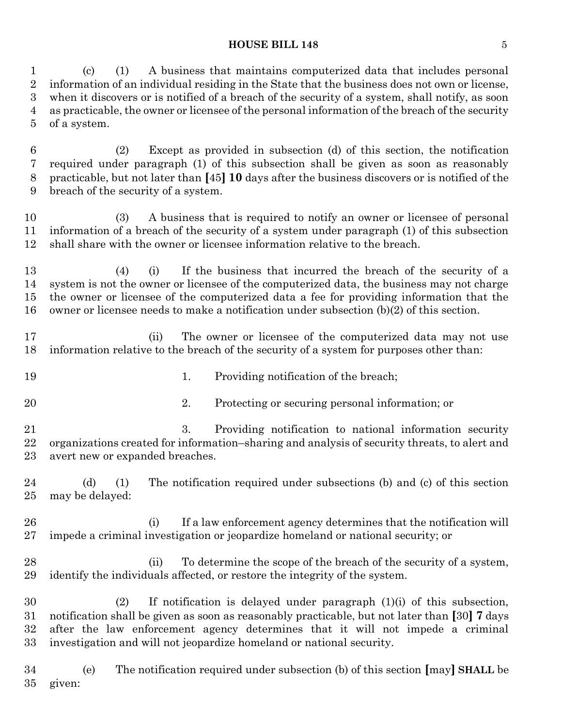#### **HOUSE BILL 148** 5

 (c) (1) A business that maintains computerized data that includes personal information of an individual residing in the State that the business does not own or license, when it discovers or is notified of a breach of the security of a system, shall notify, as soon as practicable, the owner or licensee of the personal information of the breach of the security of a system.

 (2) Except as provided in subsection (d) of this section, the notification required under paragraph (1) of this subsection shall be given as soon as reasonably practicable, but not later than **[**45**] 10** days after the business discovers or is notified of the breach of the security of a system.

 (3) A business that is required to notify an owner or licensee of personal information of a breach of the security of a system under paragraph (1) of this subsection shall share with the owner or licensee information relative to the breach.

 (4) (i) If the business that incurred the breach of the security of a system is not the owner or licensee of the computerized data, the business may not charge the owner or licensee of the computerized data a fee for providing information that the owner or licensee needs to make a notification under subsection (b)(2) of this section.

 (ii) The owner or licensee of the computerized data may not use information relative to the breach of the security of a system for purposes other than:

- 19 1. Providing notification of the breach;
- 2. Protecting or securing personal information; or

 3. Providing notification to national information security organizations created for information–sharing and analysis of security threats, to alert and avert new or expanded breaches.

 (d) (1) The notification required under subsections (b) and (c) of this section may be delayed:

 (i) If a law enforcement agency determines that the notification will impede a criminal investigation or jeopardize homeland or national security; or

 (ii) To determine the scope of the breach of the security of a system, identify the individuals affected, or restore the integrity of the system.

 (2) If notification is delayed under paragraph (1)(i) of this subsection, notification shall be given as soon as reasonably practicable, but not later than **[**30**] 7** days after the law enforcement agency determines that it will not impede a criminal investigation and will not jeopardize homeland or national security.

 (e) The notification required under subsection (b) of this section **[**may**] SHALL** be given: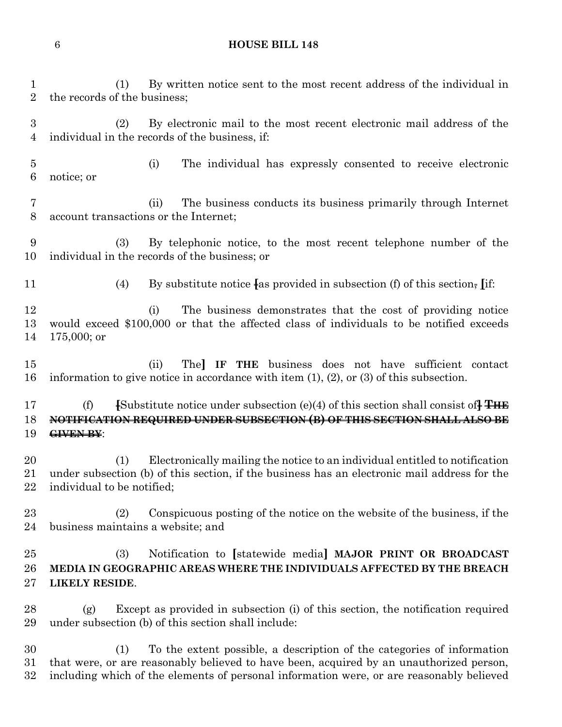# **HOUSE BILL 148**

| 1<br>$\overline{2}$                | By written notice sent to the most recent address of the individual in<br>(1)<br>the records of the business;                                                                                                                                                        |
|------------------------------------|----------------------------------------------------------------------------------------------------------------------------------------------------------------------------------------------------------------------------------------------------------------------|
| $\boldsymbol{3}$<br>4              | By electronic mail to the most recent electronic mail address of the<br>(2)<br>individual in the records of the business, if:                                                                                                                                        |
| $\overline{5}$<br>$\boldsymbol{6}$ | The individual has expressly consented to receive electronic<br>(i)<br>notice; or                                                                                                                                                                                    |
| 7<br>8                             | The business conducts its business primarily through Internet<br>(ii)<br>account transactions or the Internet;                                                                                                                                                       |
| 9<br>10                            | By telephonic notice, to the most recent telephone number of the<br>(3)<br>individual in the records of the business; or                                                                                                                                             |
| 11                                 | By substitute notice $\{$ as provided in subsection (f) of this section, $\left[$ if:<br>(4)                                                                                                                                                                         |
| 12<br>13<br>14                     | The business demonstrates that the cost of providing notice<br>(i)<br>would exceed \$100,000 or that the affected class of individuals to be notified exceeds<br>$175,000$ ; or                                                                                      |
| 15<br>16                           | The IF THE business does not have sufficient contact<br>(ii)<br>information to give notice in accordance with item $(1)$ , $(2)$ , or $(3)$ of this subsection.                                                                                                      |
| 17<br>18<br>19                     | <b>[Substitute notice under subsection (e)(4) of this section shall consist of <math>\overline{H}</math></b><br>(f)<br>NOTIFICATION REQUIRED UNDER SUBSECTION (B) OF THIS SECTION SHALL ALSO BE<br>GIVEN BY:                                                         |
| 20<br>21<br>22                     | Electronically mailing the notice to an individual entitled to notification<br>(1)<br>under subsection (b) of this section, if the business has an electronic mail address for the<br>individual to be notified;                                                     |
| 23<br>24                           | Conspicuous posting of the notice on the website of the business, if the<br>(2)<br>business maintains a website; and                                                                                                                                                 |
| 25<br>26<br>27                     | Notification to [statewide media] MAJOR PRINT OR BROADCAST<br>(3)<br>MEDIA IN GEOGRAPHIC AREAS WHERE THE INDIVIDUALS AFFECTED BY THE BREACH<br><b>LIKELY RESIDE.</b>                                                                                                 |
| 28<br>29                           | Except as provided in subsection (i) of this section, the notification required<br>(g)<br>under subsection (b) of this section shall include:                                                                                                                        |
| 30<br>31<br>32                     | To the extent possible, a description of the categories of information<br>(1)<br>that were, or are reasonably believed to have been, acquired by an unauthorized person,<br>including which of the elements of personal information were, or are reasonably believed |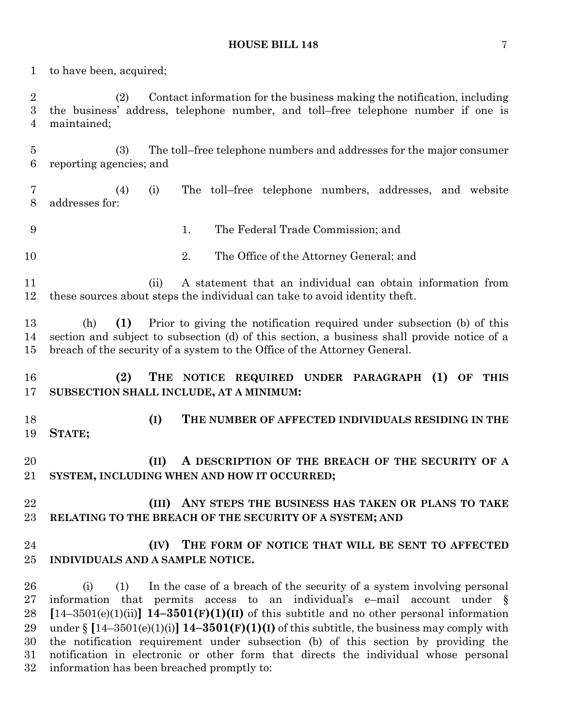#### **HOUSE BILL 148** 7

to have been, acquired;

 (2) Contact information for the business making the notification, including the business' address, telephone number, and toll–free telephone number if one is maintained;

 (3) The toll–free telephone numbers and addresses for the major consumer reporting agencies; and

 (4) (i) The toll–free telephone numbers, addresses, and website addresses for:

- 1. The Federal Trade Commission; and
- 2. The Office of the Attorney General; and

 (ii) A statement that an individual can obtain information from these sources about steps the individual can take to avoid identity theft.

 (h) **(1)** Prior to giving the notification required under subsection (b) of this section and subject to subsection (d) of this section, a business shall provide notice of a breach of the security of a system to the Office of the Attorney General.

 **(2) THE NOTICE REQUIRED UNDER PARAGRAPH (1) OF THIS SUBSECTION SHALL INCLUDE, AT A MINIMUM:**

 **(I) THE NUMBER OF AFFECTED INDIVIDUALS RESIDING IN THE STATE;**

 **(II) A DESCRIPTION OF THE BREACH OF THE SECURITY OF A SYSTEM, INCLUDING WHEN AND HOW IT OCCURRED;**

# **(III) ANY STEPS THE BUSINESS HAS TAKEN OR PLANS TO TAKE RELATING TO THE BREACH OF THE SECURITY OF A SYSTEM; AND**

# **(IV) THE FORM OF NOTICE THAT WILL BE SENT TO AFFECTED INDIVIDUALS AND A SAMPLE NOTICE.**

 (i) (1) In the case of a breach of the security of a system involving personal information that permits access to an individual's e–mail account under § **[**14–3501(e)(1)(ii)**] 14–3501(F)(1)(II)** of this subtitle and no other personal information 29 under  $\S$   $[14-3501(e)(1)(i)]$   $[14-3501(F)(1)(i)]$  of this subtitle, the business may comply with the notification requirement under subsection (b) of this section by providing the notification in electronic or other form that directs the individual whose personal information has been breached promptly to: